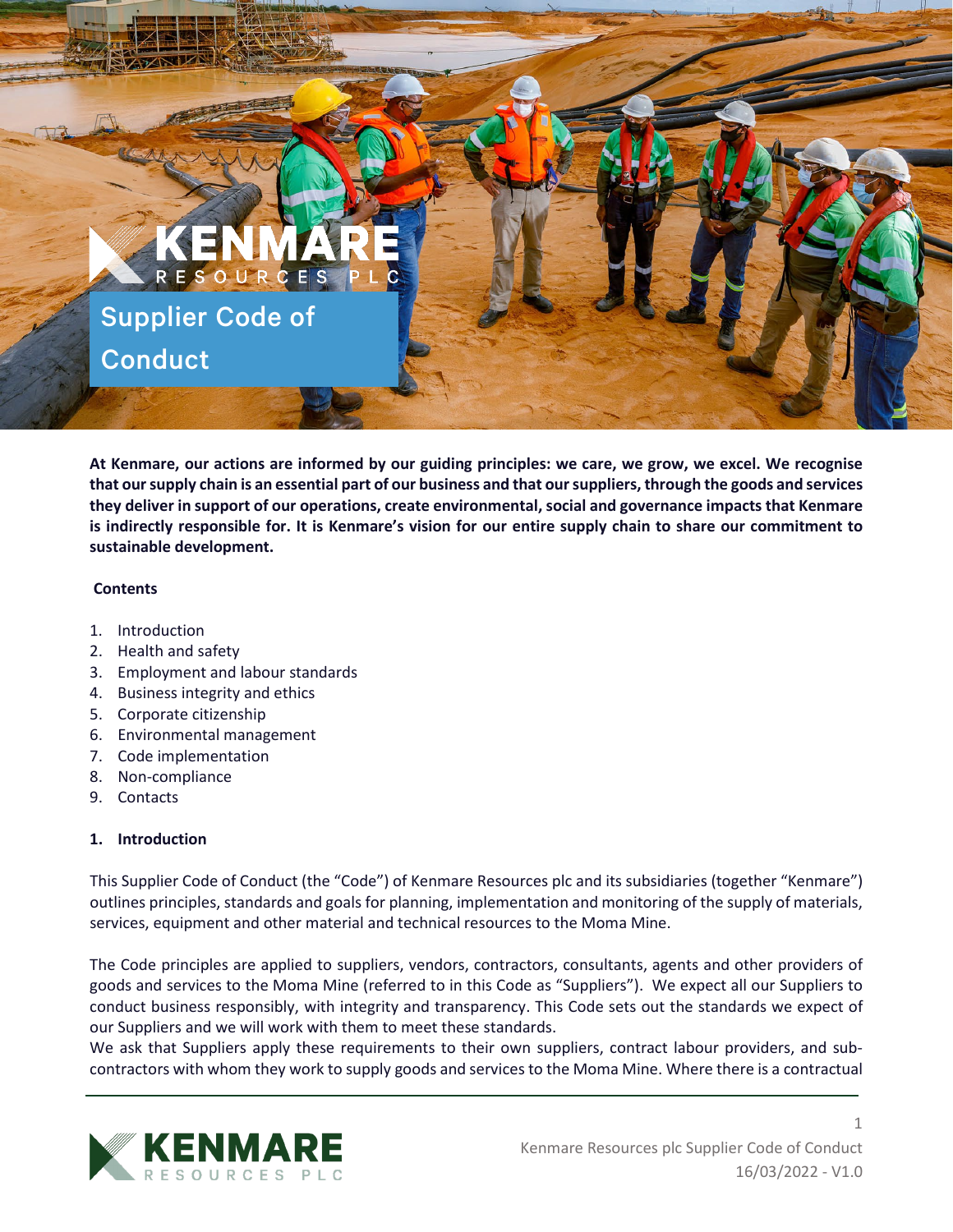

**At Kenmare, our actions are informed by our guiding principles: we care, we grow, we excel. We recognise that our supply chain is an essential part of our business and that our suppliers, through the goods and services they deliver in support of our operations, create environmental, social and governance impacts that Kenmare is indirectly responsible for. It is Kenmare's vision for our entire supply chain to share our commitment to sustainable development.** 

### **Contents**

- 1. Introduction
- 2. Health and safety
- 3. Employment and labour standards
- 4. Business integrity and ethics
- 5. Corporate citizenship
- 6. Environmental management
- 7. Code implementation
- 8. Non-compliance
- 9. Contacts

# **1. Introduction**

This Supplier Code of Conduct (the "Code") of Kenmare Resources plc and its subsidiaries (together "Kenmare") outlines principles, standards and goals for planning, implementation and monitoring of the supply of materials, services, equipment and other material and technical resources to the Moma Mine.

The Code principles are applied to suppliers, vendors, contractors, consultants, agents and other providers of goods and services to the Moma Mine (referred to in this Code as "Suppliers"). We expect all our Suppliers to conduct business responsibly, with integrity and transparency. This Code sets out the standards we expect of our Suppliers and we will work with them to meet these standards.

We ask that Suppliers apply these requirements to their own suppliers, contract labour providers, and subcontractors with whom they work to supply goods and services to the Moma Mine. Where there is a contractual

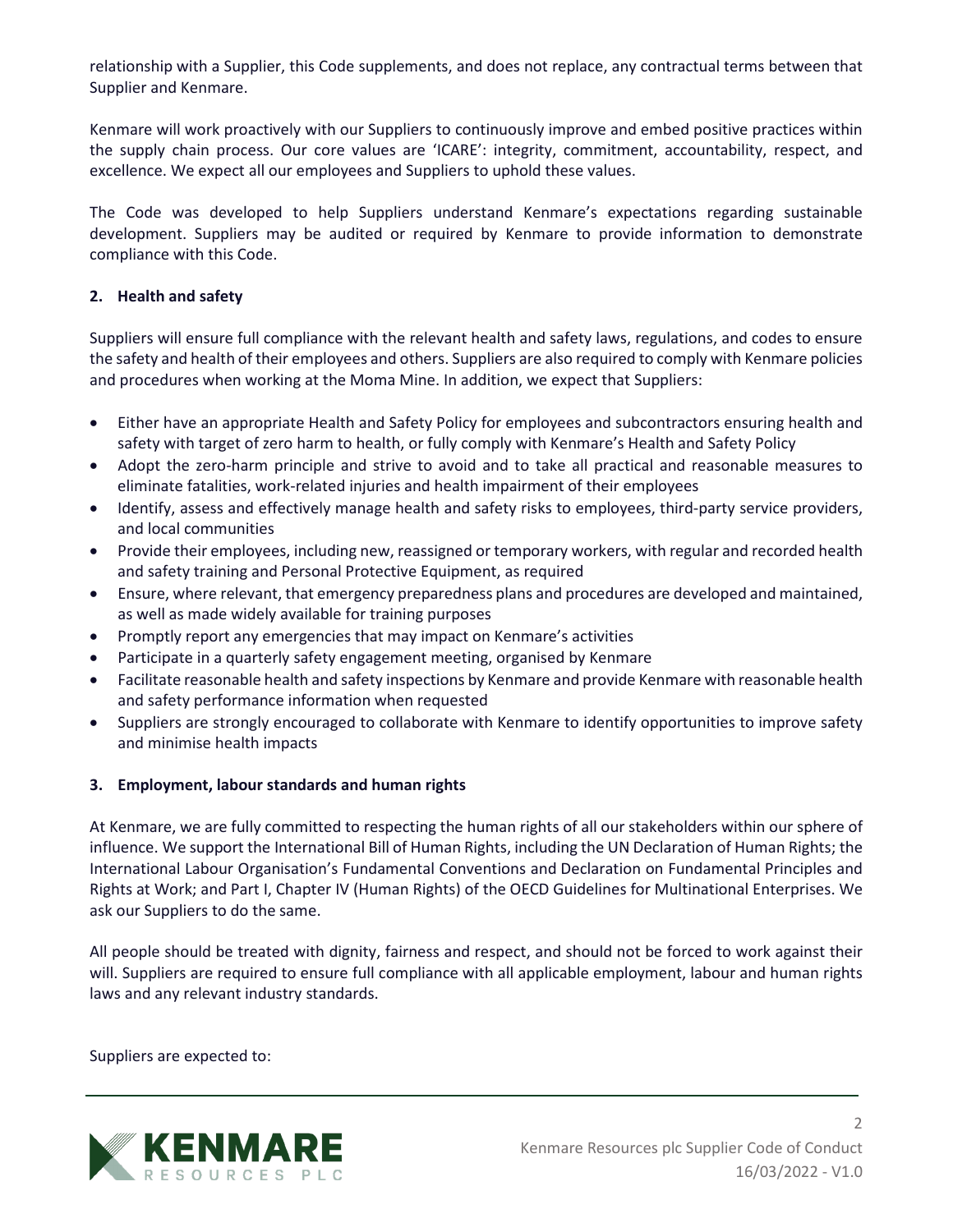relationship with a Supplier, this Code supplements, and does not replace, any contractual terms between that Supplier and Kenmare.

Kenmare will work proactively with our Suppliers to continuously improve and embed positive practices within the supply chain process. Our core values are 'ICARE': integrity, commitment, accountability, respect, and excellence. We expect all our employees and Suppliers to uphold these values.

The Code was developed to help Suppliers understand Kenmare's expectations regarding sustainable development. Suppliers may be audited or required by Kenmare to provide information to demonstrate compliance with this Code.

## **2. Health and safety**

Suppliers will ensure full compliance with the relevant health and safety laws, regulations, and codes to ensure the safety and health of their employees and others. Suppliers are also required to comply with Kenmare policies and procedures when working at the Moma Mine. In addition, we expect that Suppliers:

- Either have an appropriate Health and Safety Policy for employees and subcontractors ensuring health and safety with target of zero harm to health, or fully comply with Kenmare's Health and Safety Policy
- Adopt the zero-harm principle and strive to avoid and to take all practical and reasonable measures to eliminate fatalities, work-related injuries and health impairment of their employees
- Identify, assess and effectively manage health and safety risks to employees, third-party service providers, and local communities
- Provide their employees, including new, reassigned or temporary workers, with regular and recorded health and safety training and Personal Protective Equipment, as required
- Ensure, where relevant, that emergency preparedness plans and procedures are developed and maintained, as well as made widely available for training purposes
- Promptly report any emergencies that may impact on Kenmare's activities
- Participate in a quarterly safety engagement meeting, organised by Kenmare
- Facilitate reasonable health and safety inspections by Kenmare and provide Kenmare with reasonable health and safety performance information when requested
- Suppliers are strongly encouraged to collaborate with Kenmare to identify opportunities to improve safety and minimise health impacts

### **3. Employment, labour standards and human rights**

At Kenmare, we are fully committed to respecting the human rights of all our stakeholders within our sphere of influence. We support the International Bill of Human Rights, including the UN Declaration of Human Rights; the International Labour Organisation's Fundamental Conventions and Declaration on Fundamental Principles and Rights at Work; and Part I, Chapter IV (Human Rights) of the OECD Guidelines for Multinational Enterprises. We ask our Suppliers to do the same.

All people should be treated with dignity, fairness and respect, and should not be forced to work against their will. Suppliers are required to ensure full compliance with all applicable employment, labour and human rights laws and any relevant industry standards.

Suppliers are expected to:

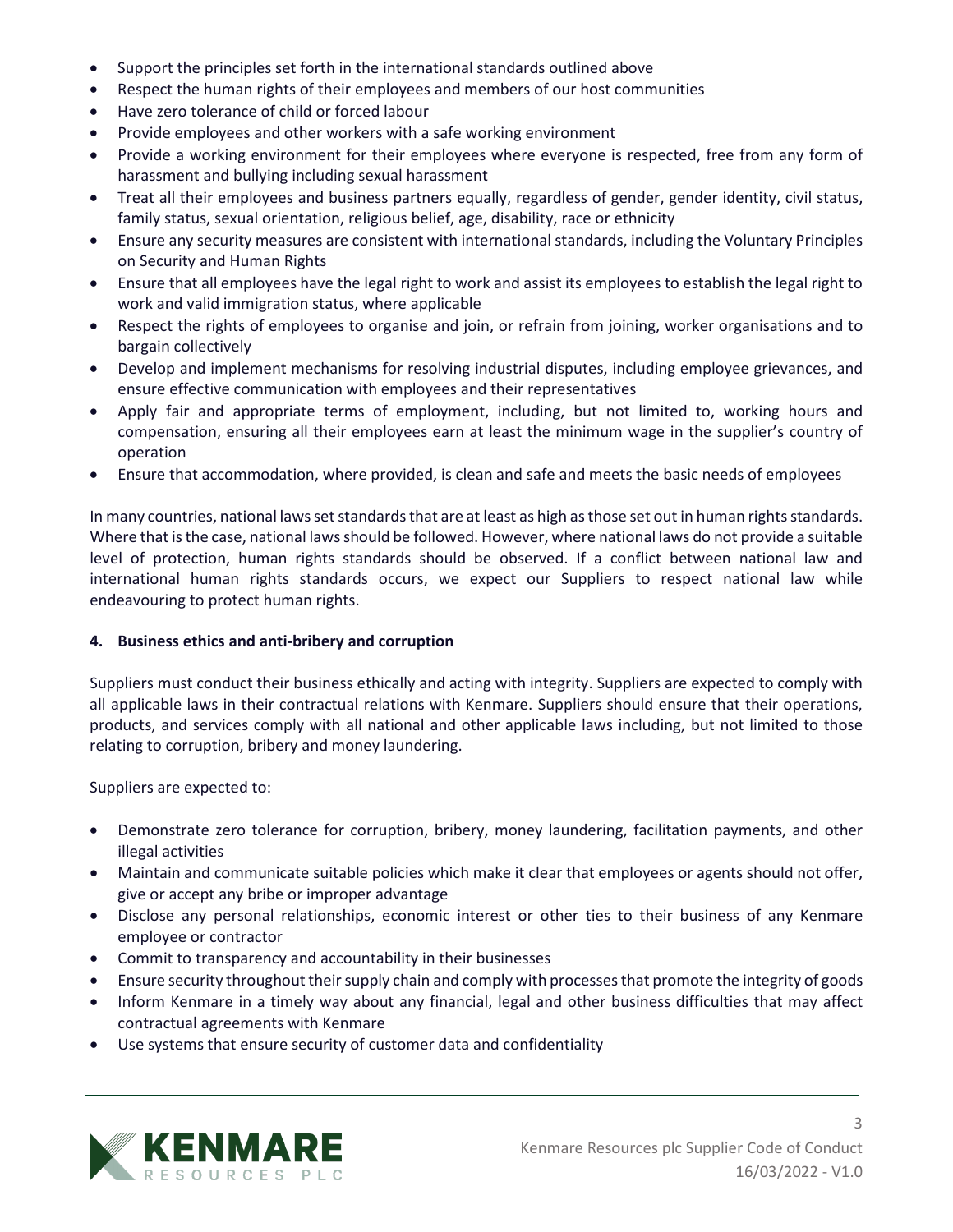- Support the principles set forth in the international standards outlined above
- Respect the human rights of their employees and members of our host communities
- Have zero tolerance of child or forced labour
- Provide employees and other workers with a safe working environment
- Provide a working environment for their employees where everyone is respected, free from any form of harassment and bullying including sexual harassment
- Treat all their employees and business partners equally, regardless of gender, gender identity, civil status, family status, sexual orientation, religious belief, age, disability, race or ethnicity
- Ensure any security measures are consistent with international standards, including the Voluntary Principles on Security and Human Rights
- Ensure that all employees have the legal right to work and assist its employees to establish the legal right to work and valid immigration status, where applicable
- Respect the rights of employees to organise and join, or refrain from joining, worker organisations and to bargain collectively
- Develop and implement mechanisms for resolving industrial disputes, including employee grievances, and ensure effective communication with employees and their representatives
- Apply fair and appropriate terms of employment, including, but not limited to, working hours and compensation, ensuring all their employees earn at least the minimum wage in the supplier's country of operation
- Ensure that accommodation, where provided, is clean and safe and meets the basic needs of employees

In many countries, national laws set standards that are at least as high as those set out in human rights standards. Where that is the case, national laws should be followed. However, where national laws do not provide a suitable level of protection, human rights standards should be observed. If a conflict between national law and international human rights standards occurs, we expect our Suppliers to respect national law while endeavouring to protect human rights.

### **4. Business ethics and anti-bribery and corruption**

Suppliers must conduct their business ethically and acting with integrity. Suppliers are expected to comply with all applicable laws in their contractual relations with Kenmare. Suppliers should ensure that their operations, products, and services comply with all national and other applicable laws including, but not limited to those relating to corruption, bribery and money laundering.

Suppliers are expected to:

- Demonstrate zero tolerance for corruption, bribery, money laundering, facilitation payments, and other illegal activities
- Maintain and communicate suitable policies which make it clear that employees or agents should not offer, give or accept any bribe or improper advantage
- Disclose any personal relationships, economic interest or other ties to their business of any Kenmare employee or contractor
- Commit to transparency and accountability in their businesses
- Ensure security throughout their supply chain and comply with processes that promote the integrity of goods
- Inform Kenmare in a timely way about any financial, legal and other business difficulties that may affect contractual agreements with Kenmare
- Use systems that ensure security of customer data and confidentiality

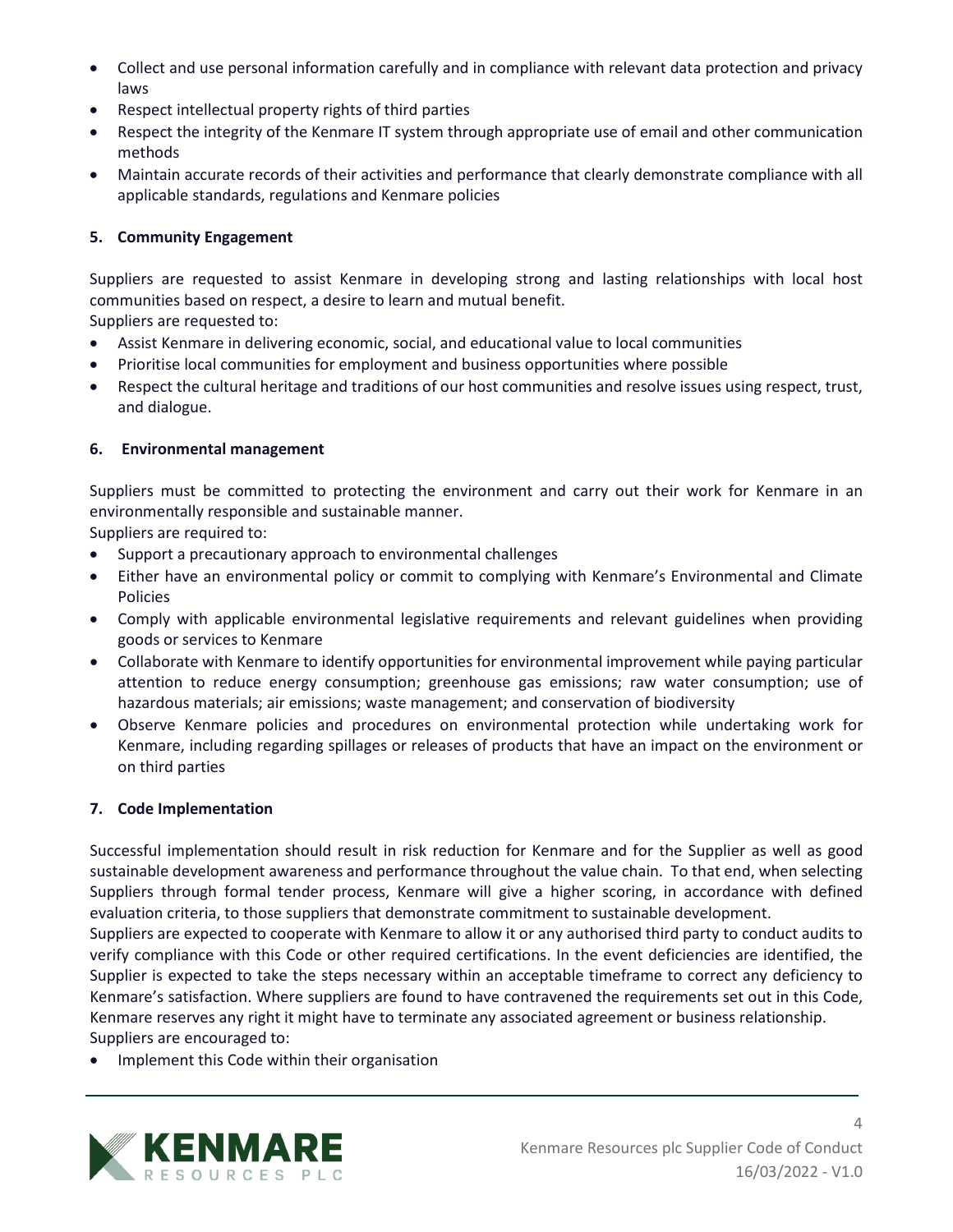- Collect and use personal information carefully and in compliance with relevant data protection and privacy laws
- Respect intellectual property rights of third parties
- Respect the integrity of the Kenmare IT system through appropriate use of email and other communication methods
- Maintain accurate records of their activities and performance that clearly demonstrate compliance with all applicable standards, regulations and Kenmare policies

## **5. Community Engagement**

Suppliers are requested to assist Kenmare in developing strong and lasting relationships with local host communities based on respect, a desire to learn and mutual benefit.

Suppliers are requested to:

- Assist Kenmare in delivering economic, social, and educational value to local communities
- Prioritise local communities for employment and business opportunities where possible
- Respect the cultural heritage and traditions of our host communities and resolve issues using respect, trust, and dialogue.

### **6. Environmental management**

Suppliers must be committed to protecting the environment and carry out their work for Kenmare in an environmentally responsible and sustainable manner.

Suppliers are required to:

- Support a precautionary approach to environmental challenges
- Either have an environmental policy or commit to complying with Kenmare's Environmental and Climate Policies
- Comply with applicable environmental legislative requirements and relevant guidelines when providing goods or services to Kenmare
- Collaborate with Kenmare to identify opportunities for environmental improvement while paying particular attention to reduce energy consumption; greenhouse gas emissions; raw water consumption; use of hazardous materials; air emissions; waste management; and conservation of biodiversity
- Observe Kenmare policies and procedures on environmental protection while undertaking work for Kenmare, including regarding spillages or releases of products that have an impact on the environment or on third parties

### **7. Code Implementation**

Successful implementation should result in risk reduction for Kenmare and for the Supplier as well as good sustainable development awareness and performance throughout the value chain. To that end, when selecting Suppliers through formal tender process, Kenmare will give a higher scoring, in accordance with defined evaluation criteria, to those suppliers that demonstrate commitment to sustainable development.

Suppliers are expected to cooperate with Kenmare to allow it or any authorised third party to conduct audits to verify compliance with this Code or other required certifications. In the event deficiencies are identified, the Supplier is expected to take the steps necessary within an acceptable timeframe to correct any deficiency to Kenmare's satisfaction. Where suppliers are found to have contravened the requirements set out in this Code, Kenmare reserves any right it might have to terminate any associated agreement or business relationship.

Suppliers are encouraged to:

• Implement this Code within their organisation

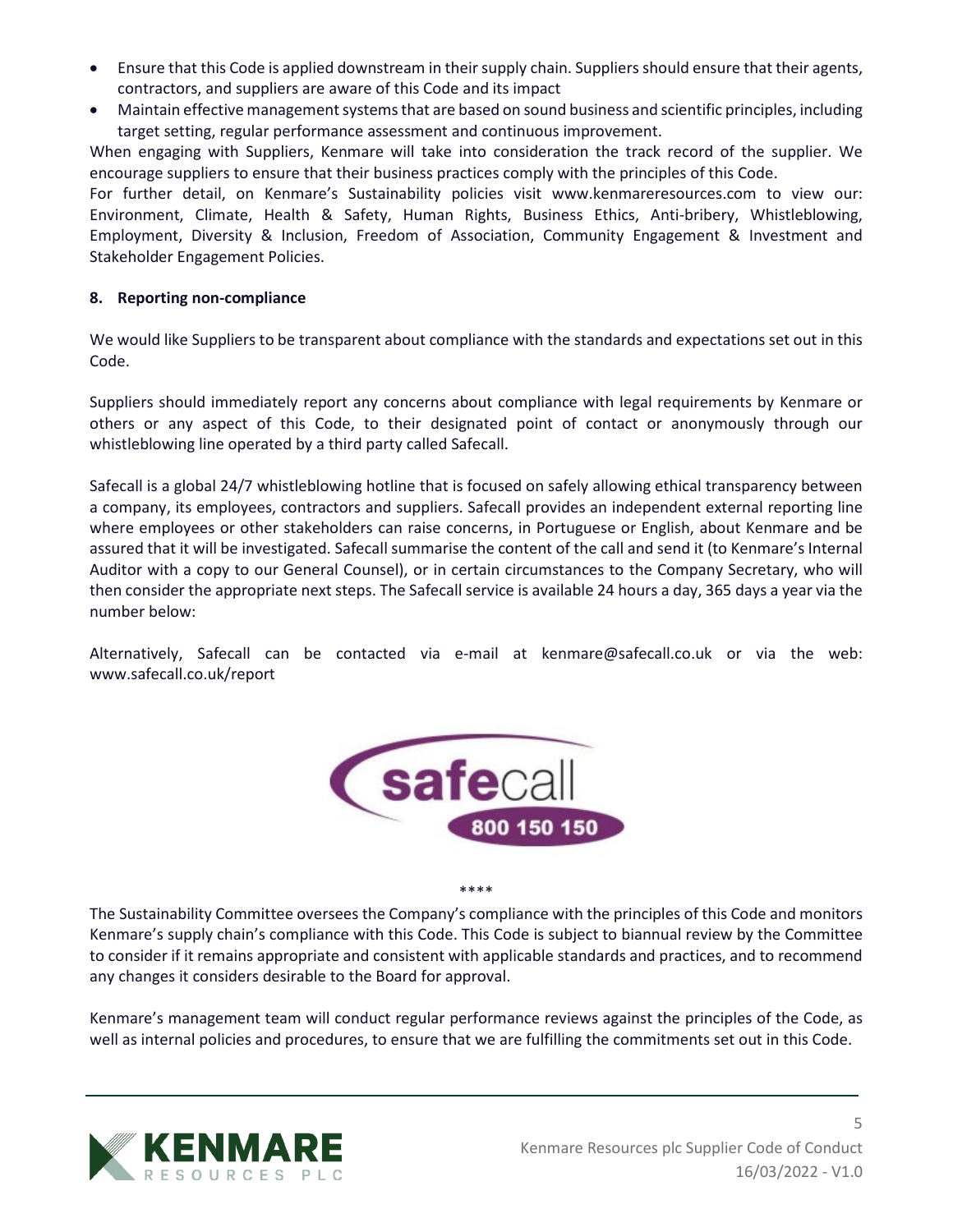- Ensure that this Code is applied downstream in their supply chain. Suppliers should ensure that their agents, contractors, and suppliers are aware of this Code and its impact
- Maintain effective management systems that are based on sound business and scientific principles, including target setting, regular performance assessment and continuous improvement.

When engaging with Suppliers, Kenmare will take into consideration the track record of the supplier. We encourage suppliers to ensure that their business practices comply with the principles of this Code.

For further detail, on Kenmare's Sustainability policies visit [www.kenmareresources.com](http://www.kenmareresources.com/) to view our: Environment, Climate, Health & Safety, Human Rights, Business Ethics, Anti-bribery, Whistleblowing, Employment, Diversity & Inclusion, Freedom of Association, Community Engagement & Investment and Stakeholder Engagement Policies.

### **8. Reporting non-compliance**

We would like Suppliers to be transparent about compliance with the standards and expectations set out in this Code.

Suppliers should immediately report any concerns about compliance with legal requirements by Kenmare or others or any aspect of this Code, to their designated point of contact or anonymously through our whistleblowing line operated by a third party called Safecall.

Safecall is a global 24/7 whistleblowing hotline that is focused on safely allowing ethical transparency between a company, its employees, contractors and suppliers. Safecall provides an independent external reporting line where employees or other stakeholders can raise concerns, in Portuguese or English, about Kenmare and be assured that it will be investigated. Safecall summarise the content of the call and send it (to Kenmare's Internal Auditor with a copy to our General Counsel), or in certain circumstances to the Company Secretary, who will then consider the appropriate next steps. The Safecall service is available 24 hours a day, 365 days a year via the number below:

Alternatively, Safecall can be contacted via e-mail at kenmare@safecall.co.uk or via the web: [www.safecall.co.uk/report](http://www.safecall.co.uk/report)



\*\*\*\*

The Sustainability Committee oversees the Company's compliance with the principles of this Code and monitors Kenmare's supply chain's compliance with this Code. This Code is subject to biannual review by the Committee to consider if it remains appropriate and consistent with applicable standards and practices, and to recommend any changes it considers desirable to the Board for approval.

Kenmare's management team will conduct regular performance reviews against the principles of the Code, as well as internal policies and procedures, to ensure that we are fulfilling the commitments set out in this Code.

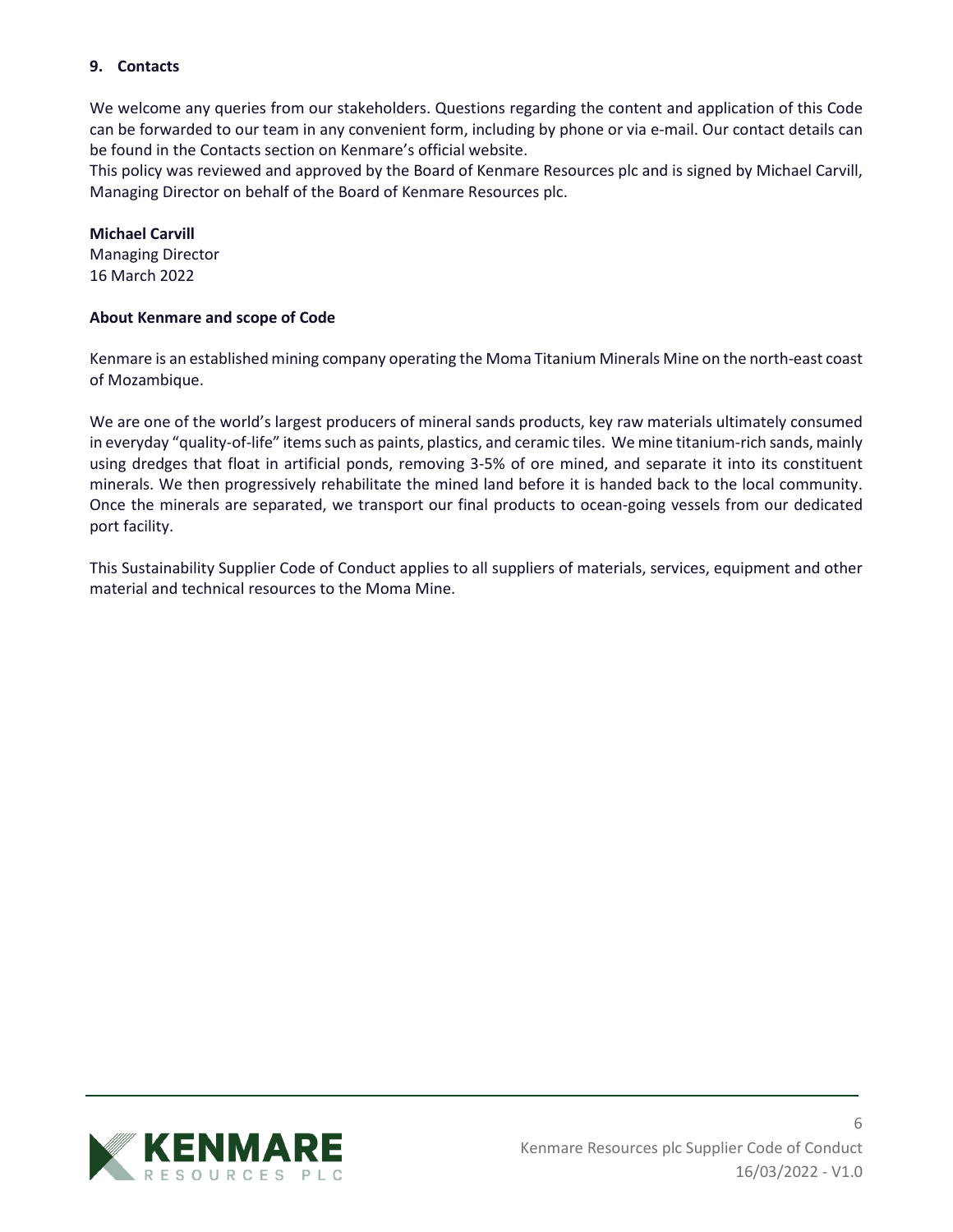# **9. Contacts**

We welcome any queries from our stakeholders. Questions regarding the content and application of this Code can be forwarded to our team in any convenient form, including by phone or via e-mail. Our contact details can be found in the Contacts section on Kenmare's official website.

This policy was reviewed and approved by the Board of Kenmare Resources plc and is signed by Michael Carvill, Managing Director on behalf of the Board of Kenmare Resources plc.

#### **Michael Carvill**

Managing Director 16 March 2022

### **About Kenmare and scope of Code**

Kenmare is an established mining company operating the Moma Titanium Minerals Mine on the north-east coast of Mozambique.

We are one of the world's largest producers of mineral sands products, key raw materials ultimately consumed in everyday "quality-of-life" items such as paints, plastics, and ceramic tiles. We mine titanium-rich sands, mainly using dredges that float in artificial ponds, removing 3-5% of ore mined, and separate it into its constituent minerals. We then progressively rehabilitate the mined land before it is handed back to the local community. Once the minerals are separated, we transport our final products to ocean-going vessels from our dedicated port facility.

This Sustainability Supplier Code of Conduct applies to all suppliers of materials, services, equipment and other material and technical resources to the Moma Mine.